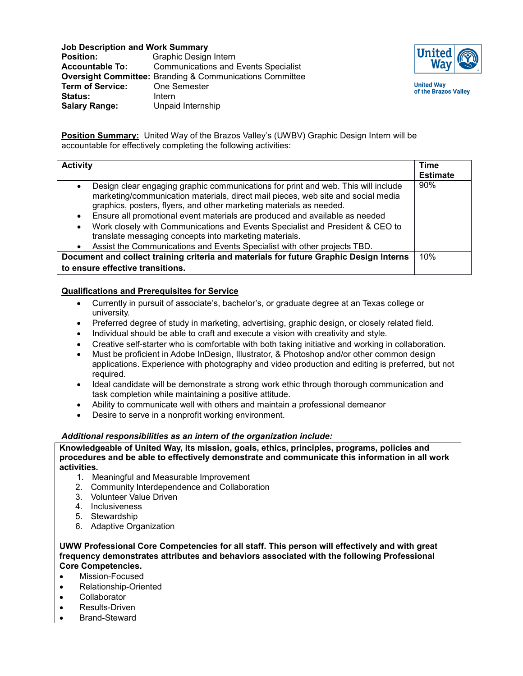**Job Description and Work Summary<br>Position:** Graphic Design

**Position: Graphic Design Intern**<br>**Accountable To: Communications and I Accountable To:** Communications and Events Specialist **Oversight Committee:** Branding & Communications Committee **Term of Service:** One Semester Status: Intern **Salary Range:** Unpaid Internship



**United Way** of the Brazos Valley

**Position Summary:** United Way of the Brazos Valley's (UWBV) Graphic Design Intern will be accountable for effectively completing the following activities:

| <b>Activity</b>                                                                                                                                                                                                                                                                                                                                                                                                                                                                                                                                                                           | Time<br><b>Estimate</b> |
|-------------------------------------------------------------------------------------------------------------------------------------------------------------------------------------------------------------------------------------------------------------------------------------------------------------------------------------------------------------------------------------------------------------------------------------------------------------------------------------------------------------------------------------------------------------------------------------------|-------------------------|
| Design clear engaging graphic communications for print and web. This will include<br>$\bullet$<br>marketing/communication materials, direct mail pieces, web site and social media<br>graphics, posters, flyers, and other marketing materials as needed.<br>Ensure all promotional event materials are produced and available as needed<br>$\bullet$<br>Work closely with Communications and Events Specialist and President & CEO to<br>translate messaging concepts into marketing materials.<br>Assist the Communications and Events Specialist with other projects TBD.<br>$\bullet$ | 90%                     |
| Document and collect training criteria and materials for future Graphic Design Interns                                                                                                                                                                                                                                                                                                                                                                                                                                                                                                    | 10%                     |
| to ensure effective transitions.                                                                                                                                                                                                                                                                                                                                                                                                                                                                                                                                                          |                         |

## **Qualifications and Prerequisites for Service**

- Currently in pursuit of associate's, bachelor's, or graduate degree at an Texas college or university.
- Preferred degree of study in marketing, advertising, graphic design, or closely related field.
- Individual should be able to craft and execute a vision with creativity and style.
- Creative self-starter who is comfortable with both taking initiative and working in collaboration.
- Must be proficient in Adobe InDesign, Illustrator, & Photoshop and/or other common design applications. Experience with photography and video production and editing is preferred, but not required.
- Ideal candidate will be demonstrate a strong work ethic through thorough communication and task completion while maintaining a positive attitude.
- Ability to communicate well with others and maintain a professional demeanor
- Desire to serve in a nonprofit working environment.

## *Additional responsibilities as an intern of the organization include:*

**Knowledgeable of United Way, its mission, goals, ethics, principles, programs, policies and procedures and be able to effectively demonstrate and communicate this information in all work activities.**

- 1. Meaningful and Measurable Improvement
- 2. Community Interdependence and Collaboration
- 3. Volunteer Value Driven
- 4. Inclusiveness
- 5. Stewardship
- 6. Adaptive Organization

**UWW Professional Core Competencies for all staff. This person will effectively and with great frequency demonstrates attributes and behaviors associated with the following Professional Core Competencies.**

- Mission-Focused
- Relationship-Oriented
- **Collaborator**
- Results-Driven
- Brand-Steward